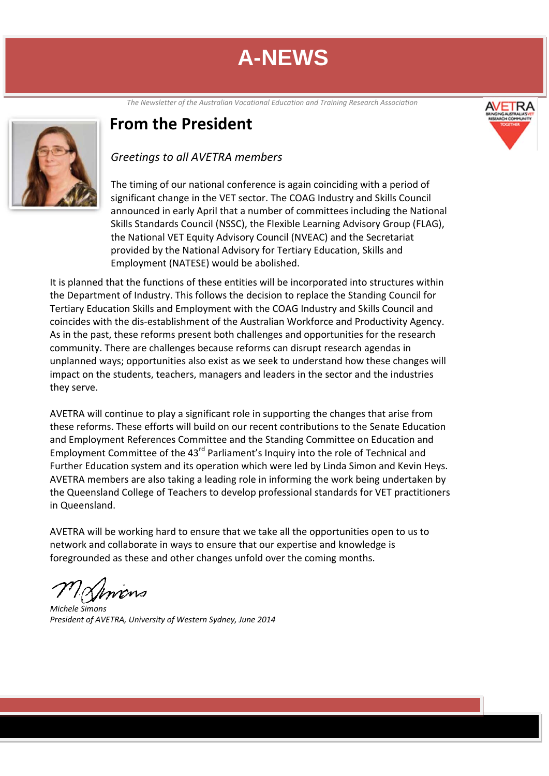*The Newsletter of the Australian Vocational Education and Training Research Association*



### **From the President**

#### *Greetings to all AVETRA members*

The timing of our national conference is again coinciding with a period of significant change in the VET sector. The COAG Industry and Skills Council announced in early April that a number of committees including the National Skills Standards Council (NSSC), the Flexible Learning Advisory Group (FLAG), the National VET Equity Advisory Council (NVEAC) and the Secretariat provided by the National Advisory for Tertiary Education, Skills and Employment (NATESE) would be abolished.

It is planned that the functions of these entities will be incorporated into structures within the Department of Industry. This follows the decision to replace the Standing Council for Tertiary Education Skills and Employment with the COAG Industry and Skills Council and coincides with the dis‐establishment of the Australian Workforce and Productivity Agency. As in the past, these reforms present both challenges and opportunities for the research community. There are challenges because reforms can disrupt research agendas in unplanned ways; opportunities also exist as we seek to understand how these changes will impact on the students, teachers, managers and leaders in the sector and the industries they serve.

AVETRA will continue to play a significant role in supporting the changes that arise from these reforms. These efforts will build on our recent contributions to the Senate Education and Employment References Committee and the Standing Committee on Education and Employment Committee of the 43<sup>rd</sup> Parliament's Inquiry into the role of Technical and Further Education system and its operation which were led by Linda Simon and Kevin Heys. AVETRA members are also taking a leading role in informing the work being undertaken by the Queensland College of Teachers to develop professional standards for VET practitioners in Queensland.

AVETRA will be working hard to ensure that we take all the opportunities open to us to network and collaborate in ways to ensure that our expertise and knowledge is foregrounded as these and other changes unfold over the coming months.

 *Michele Simons*

*President of AVETRA, University of Western Sydney, June 2014*

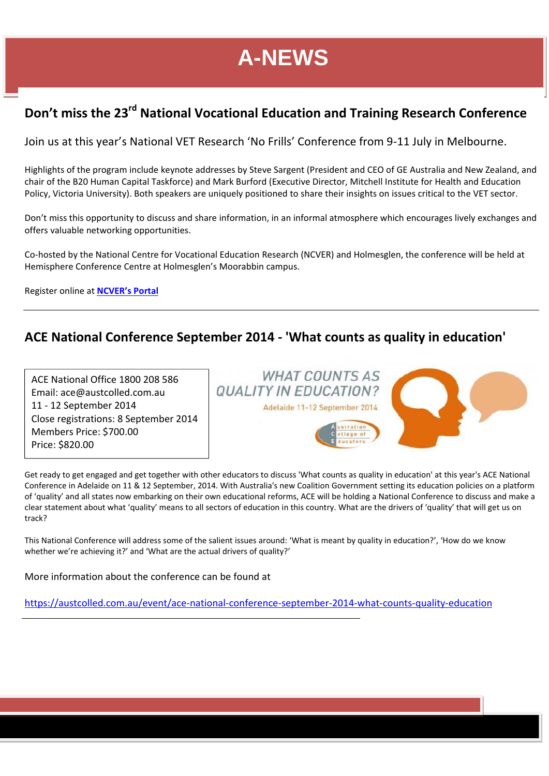### **Don't miss the 23rd National Vocational Education and Training Research Conference**

Join us at this year's National VET Research 'No Frills' Conference from 9‐11 July in Melbourne.

Highlights of the program include keynote addresses by Steve Sargent (President and CEO of GE Australia and New Zealand, and chair of the B20 Human Capital Taskforce) and Mark Burford (Executive Director, Mitchell Institute for Health and Education Policy, Victoria University). Both speakers are uniquely positioned to share their insights on issues critical to the VET sector.

Don't miss this opportunity to discuss and share information, in an informal atmosphere which encourages lively exchanges and offers valuable networking opportunities.

Co‐hosted by the National Centre for Vocational Education Research (NCVER) and Holmesglen, the conference will be held at Hemisphere Conference Centre at Holmesglen's Moorabbin campus.

Register online at **NCVER's Portal**

### **ACE National Conference September 2014 ‐ 'What counts as quality in education'**

ACE National Office 1800 208 586 Email: ace@austcolled.com.au 11 ‐ 12 September 2014 Close registrations: 8 September 2014 Members Price: \$700.00 Price: \$820.00



 Get ready to get engaged and get together with other educators to discuss 'What counts as quality in education' at this year's ACE National Conference in Adelaide on 11 & 12 September, 2014. With Australia's new Coalition Government setting its education policies on a platform of 'quality' and all states now embarking on their own educational reforms, ACE will be holding a National Conference to discuss and make a clear statement about what 'quality' means to all sectors of education in this country. What are the drivers of 'quality' that will get us on track?

This National Conference will address some of the salient issues around: 'What is meant by quality in education?', 'How do we know whether we're achieving it?' and 'What are the actual drivers of quality?'

More information about the conference can be found at

https://austcolled.com.au/event/ace‐national‐conference‐september‐2014‐what‐counts‐quality‐education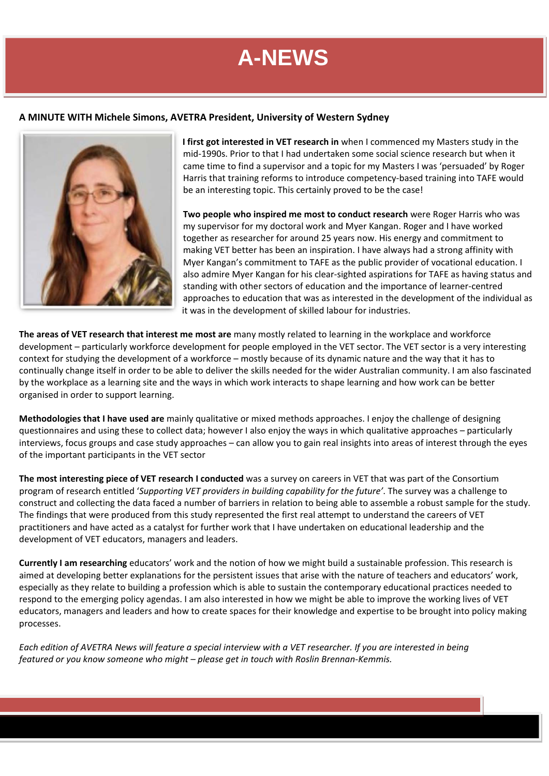#### **A MINUTE WITH Michele Simons, AVETRA President, University of Western Sydney**



**I first got interested in VET research in** when I commenced my Masters study in the mid‐1990s. Prior to that I had undertaken some social science research but when it came time to find a supervisor and a topic for my Masters I was 'persuaded' by Roger Harris that training reforms to introduce competency‐based training into TAFE would be an interesting topic. This certainly proved to be the case!

**Two people who inspired me most to conduct research** were Roger Harris who was my supervisor for my doctoral work and Myer Kangan. Roger and I have worked together as researcher for around 25 years now. His energy and commitment to making VET better has been an inspiration. I have always had a strong affinity with Myer Kangan's commitment to TAFE as the public provider of vocational education. I also admire Myer Kangan for his clear‐sighted aspirations for TAFE as having status and standing with other sectors of education and the importance of learner‐centred approaches to education that was as interested in the development of the individual as it was in the development of skilled labour for industries.

**The areas of VET research that interest me most are** many mostly related to learning in the workplace and workforce development – particularly workforce development for people employed in the VET sector. The VET sector is a very interesting context for studying the development of a workforce – mostly because of its dynamic nature and the way that it has to continually change itself in order to be able to deliver the skills needed for the wider Australian community. I am also fascinated by the workplace as a learning site and the ways in which work interacts to shape learning and how work can be better organised in order to support learning.

**Methodologies that I have used are** mainly qualitative or mixed methods approaches. I enjoy the challenge of designing questionnaires and using these to collect data; however I also enjoy the ways in which qualitative approaches – particularly interviews, focus groups and case study approaches – can allow you to gain real insights into areas of interest through the eyes of the important participants in the VET sector

**The most interesting piece of VET research I conducted** was a survey on careers in VET that was part of the Consortium program of research entitled '*Supporting VET providers in building capability for the future'*. The survey was a challenge to construct and collecting the data faced a number of barriers in relation to being able to assemble a robust sample for the study. The findings that were produced from this study represented the first real attempt to understand the careers of VET practitioners and have acted as a catalyst for further work that I have undertaken on educational leadership and the development of VET educators, managers and leaders.

**Currently I am researching** educators' work and the notion of how we might build a sustainable profession. This research is aimed at developing better explanations for the persistent issues that arise with the nature of teachers and educators' work, especially as they relate to building a profession which is able to sustain the contemporary educational practices needed to respond to the emerging policy agendas. I am also interested in how we might be able to improve the working lives of VET educators, managers and leaders and how to create spaces for their knowledge and expertise to be brought into policy making processes.

Each edition of AVETRA News will feature a special interview with a VET researcher. If you are interested in being *featured or you know someone who might – please get in touch with Roslin Brennan‐Kemmis.*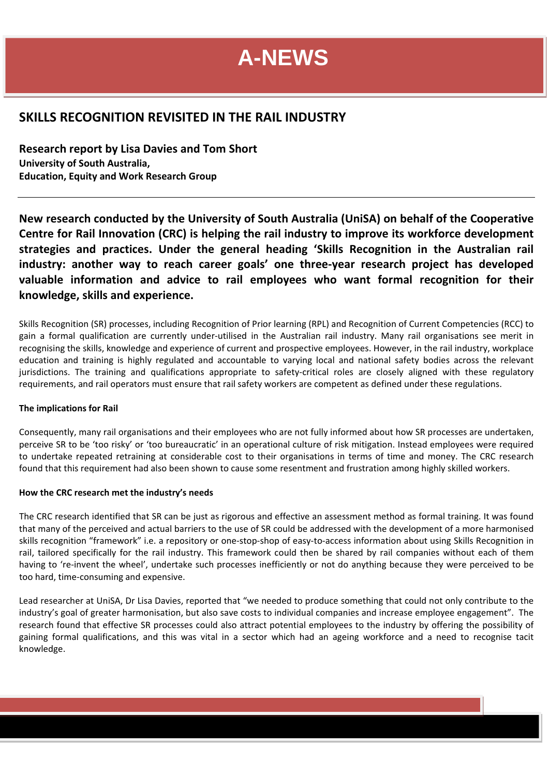#### **SKILLS RECOGNITION REVISITED IN THE RAIL INDUSTRY**

**Research report by Lisa Davies and Tom Short University of South Australia, Education, Equity and Work Research Group**

**New research conducted by the University of South Australia (UniSA) on behalf of the Cooperative Centre for Rail Innovation (CRC) is helping the rail industry to improve its workforce development strategies and practices. Under the general heading 'Skills Recognition in the Australian rail industry: another way to reach career goals' one three‐year research project has developed valuable information and advice to rail employees who want formal recognition for their knowledge, skills and experience.**

Skills Recognition (SR) processes, including Recognition of Prior learning (RPL) and Recognition of Current Competencies (RCC) to gain a formal qualification are currently under‐utilised in the Australian rail industry. Many rail organisations see merit in recognising the skills, knowledge and experience of current and prospective employees. However, in the rail industry, workplace education and training is highly regulated and accountable to varying local and national safety bodies across the relevant jurisdictions. The training and qualifications appropriate to safety-critical roles are closely aligned with these regulatory requirements, and rail operators must ensure that rail safety workers are competent as defined under these regulations.

#### **The implications for Rail**

Consequently, many rail organisations and their employees who are not fully informed about how SR processes are undertaken, perceive SR to be 'too risky' or 'too bureaucratic' in an operational culture of risk mitigation. Instead employees were required to undertake repeated retraining at considerable cost to their organisations in terms of time and money. The CRC research found that this requirement had also been shown to cause some resentment and frustration among highly skilled workers.

#### **How the CRC research met the industry's needs**

The CRC research identified that SR can be just as rigorous and effective an assessment method as formal training. It was found that many of the perceived and actual barriers to the use of SR could be addressed with the development of a more harmonised skills recognition "framework" i.e. a repository or one-stop-shop of easy-to-access information about using Skills Recognition in rail, tailored specifically for the rail industry. This framework could then be shared by rail companies without each of them having to 're-invent the wheel', undertake such processes inefficiently or not do anything because they were perceived to be too hard, time‐consuming and expensive.

Lead researcher at UniSA, Dr Lisa Davies, reported that "we needed to produce something that could not only contribute to the industry's goal of greater harmonisation, but also save costs to individual companies and increase employee engagement". The research found that effective SR processes could also attract potential employees to the industry by offering the possibility of gaining formal qualifications, and this was vital in a sector which had an ageing workforce and a need to recognise tacit knowledge.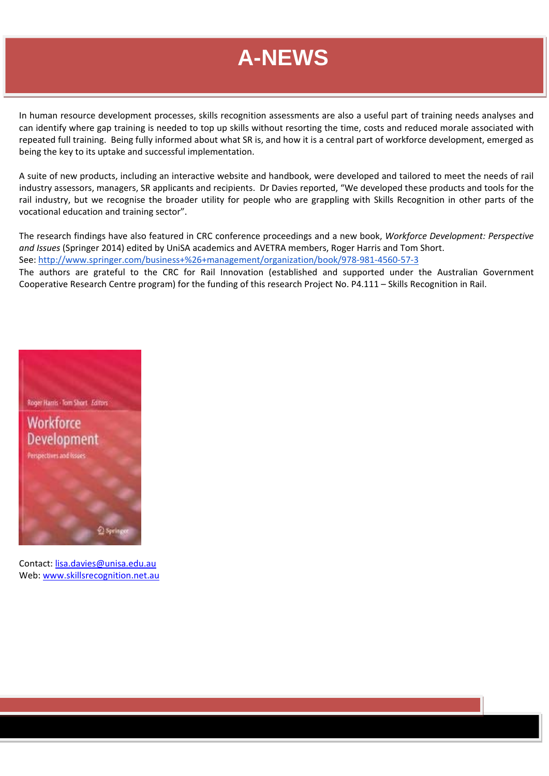In human resource development processes, skills recognition assessments are also a useful part of training needs analyses and can identify where gap training is needed to top up skills without resorting the time, costs and reduced morale associated with repeated full training. Being fully informed about what SR is, and how it is a central part of workforce development, emerged as being the key to its uptake and successful implementation.

A suite of new products, including an interactive website and handbook, were developed and tailored to meet the needs of rail industry assessors, managers, SR applicants and recipients. Dr Davies reported, "We developed these products and tools for the rail industry, but we recognise the broader utility for people who are grappling with Skills Recognition in other parts of the vocational education and training sector".

The research findings have also featured in CRC conference proceedings and a new book, *Workforce Development: Perspective and Issues* (Springer 2014) edited by UniSA academics and AVETRA members, Roger Harris and Tom Short. See: http://www.springer.com/business+%26+management/organization/book/978‐981‐4560‐57‐3

The authors are grateful to the CRC for Rail Innovation (established and supported under the Australian Government Cooperative Research Centre program) for the funding of this research Project No. P4.111 – Skills Recognition in Rail.



Contact: lisa.davies@unisa.edu.au Web: www.skillsrecognition.net.au